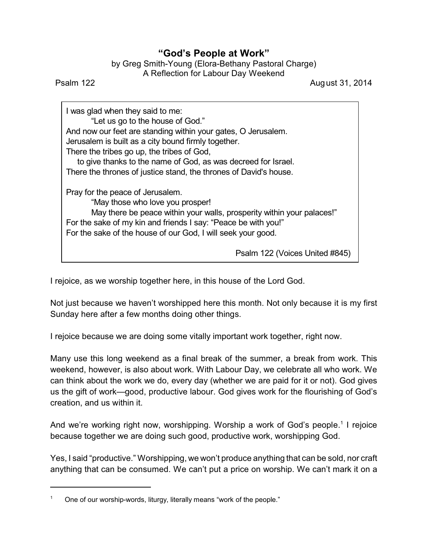## **"God's People at Work"**

| by Greg Smith-Young (Elora-Bethany Pastoral Charge) |
|-----------------------------------------------------|
| A Reflection for Labour Day Weekend                 |

Psalm 122 **August 31, 2014** 

I was glad when they said to me: "Let us go to the house of God." And now our feet are standing within your gates, O Jerusalem. Jerusalem is built as a city bound firmly together. There the tribes go up, the tribes of God, to give thanks to the name of God, as was decreed for Israel. There the thrones of justice stand, the thrones of David's house. Pray for the peace of Jerusalem. "May those who love you prosper! May there be peace within your walls, prosperity within your palaces!" For the sake of my kin and friends I say: "Peace be with you!" For the sake of the house of our God, I will seek your good.

Psalm 122 (Voices United #845)

I rejoice, as we worship together here, in this house of the Lord God.

Not just because we haven't worshipped here this month. Not only because it is my first Sunday here after a few months doing other things.

I rejoice because we are doing some vitally important work together, right now.

Many use this long weekend as a final break of the summer, a break from work. This weekend, however, is also about work. With Labour Day, we celebrate all who work. We can think about the work we do, every day (whether we are paid for it or not). God gives us the gift of work—good, productive labour. God gives work for the flourishing of God's creation, and us within it.

And we're working right now, worshipping. Worship a work of God's people.<sup>1</sup> I rejoice because together we are doing such good, productive work, worshipping God.

Yes, I said "productive." Worshipping, we won't produce anything that can be sold, nor craft anything that can be consumed. We can't put a price on worship. We can't mark it on a

<sup>1</sup> One of our worship-words, liturgy, literally means "work of the people."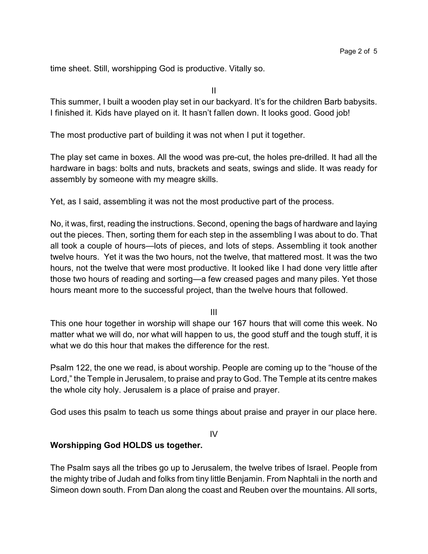time sheet. Still, worshipping God is productive. Vitally so.

II

This summer, I built a wooden play set in our backyard. It's for the children Barb babysits. I finished it. Kids have played on it. It hasn't fallen down. It looks good. Good job!

The most productive part of building it was not when I put it together.

The play set came in boxes. All the wood was pre-cut, the holes pre-drilled. It had all the hardware in bags: bolts and nuts, brackets and seats, swings and slide. It was ready for assembly by someone with my meagre skills.

Yet, as I said, assembling it was not the most productive part of the process.

No, it was, first, reading the instructions. Second, opening the bags of hardware and laying out the pieces. Then, sorting them for each step in the assembling I was about to do. That all took a couple of hours—lots of pieces, and lots of steps. Assembling it took another twelve hours. Yet it was the two hours, not the twelve, that mattered most. It was the two hours, not the twelve that were most productive. It looked like I had done very little after those two hours of reading and sorting—a few creased pages and many piles. Yet those hours meant more to the successful project, than the twelve hours that followed.

III

This one hour together in worship will shape our 167 hours that will come this week. No matter what we will do, nor what will happen to us, the good stuff and the tough stuff, it is what we do this hour that makes the difference for the rest.

Psalm 122, the one we read, is about worship. People are coming up to the "house of the Lord," the Temple in Jerusalem, to praise and pray to God. The Temple at its centre makes the whole city holy. Jerusalem is a place of praise and prayer.

God uses this psalm to teach us some things about praise and prayer in our place here.

IV

## **Worshipping God HOLDS us together.**

The Psalm says all the tribes go up to Jerusalem, the twelve tribes of Israel. People from the mighty tribe of Judah and folks from tiny little Benjamin. From Naphtali in the north and Simeon down south. From Dan along the coast and Reuben over the mountains. All sorts,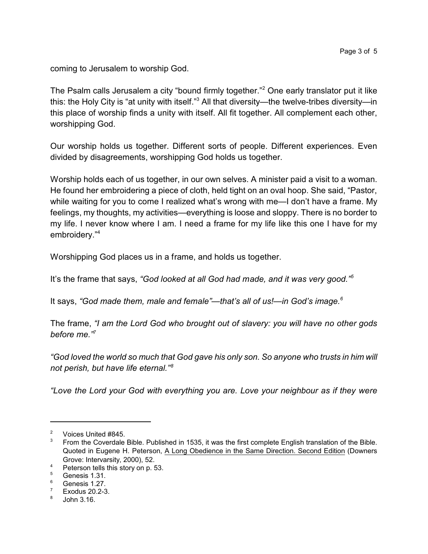coming to Jerusalem to worship God.

The Psalm calls Jerusalem a city "bound firmly together."<sup>2</sup> One early translator put it like this: the Holy City is "at unity with itself."<sup>3</sup> All that diversity—the twelve-tribes diversity—in this place of worship finds a unity with itself. All fit together. All complement each other, worshipping God.

Our worship holds us together. Different sorts of people. Different experiences. Even divided by disagreements, worshipping God holds us together.

Worship holds each of us together, in our own selves. A minister paid a visit to a woman. He found her embroidering a piece of cloth, held tight on an oval hoop. She said, "Pastor, while waiting for you to come I realized what's wrong with me—I don't have a frame. My feelings, my thoughts, my activities—everything is loose and sloppy. There is no border to my life. I never know where I am. I need a frame for my life like this one I have for my embroidery."<sup>4</sup>

Worshipping God places us in a frame, and holds us together.

It's the frame that says, *"God looked at all God had made, and it was very good."<sup>5</sup>*

It says, *"God made them, male and female"—that's all of us!—in God's image.<sup>6</sup>*

The frame, *"I am the Lord God who brought out of slavery: you will have no other gods before me."<sup>7</sup>*

*"God loved the world so much that God gave his only son. So anyone who trusts in him will not perish, but have life eternal."<sup>8</sup>*

*"Love the Lord your God with everything you are. Love your neighbour as if they were*

 $\frac{2}{3}$  Voices United #845.

<sup>3</sup> From the Coverdale Bible. Published in 1535, it was the first complete English translation of the Bible. Quoted in Eugene H. Peterson, A Long Obedience in the Same Direction. Second Edition (Downers Grove: Intervarsity, 2000), 52.

 $^{4}$  Peterson tells this story on p. 53.

Genesis 1.31.

 $\frac{6}{7}$  Genesis 1.27.

Exodus 20.2-3.

<sup>8</sup> John 3.16.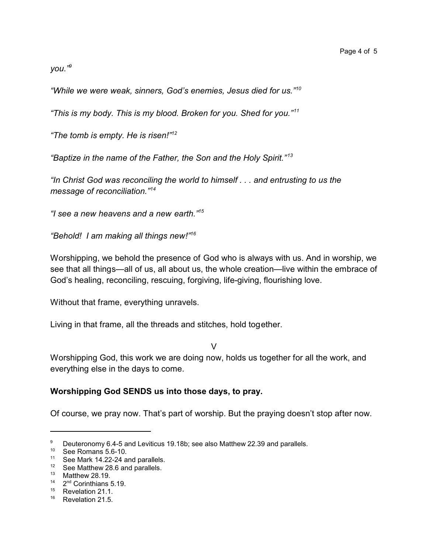*you."<sup>9</sup>*

*"While we were weak, sinners, God's enemies, Jesus died for us."<sup>10</sup>*

*"This is my body. This is my blood. Broken for you. Shed for you."<sup>11</sup>*

*"The tomb is empty. He is risen!"<sup>12</sup>*

*"Baptize in the name of the Father, the Son and the Holy Spirit." <sup>13</sup>*

*"In Christ God was reconciling the world to himself . . . and entrusting to us the message of reconciliation."<sup>14</sup>*

*"I see a new heavens and a new earth."<sup>15</sup>*

*"Behold! I am making all things new!"<sup>16</sup>*

Worshipping, we behold the presence of God who is always with us. And in worship, we see that all things—all of us, all about us, the whole creation—live within the embrace of God's healing, reconciling, rescuing, forgiving, life-giving, flourishing love.

Without that frame, everything unravels.

Living in that frame, all the threads and stitches, hold together.

V

Worshipping God, this work we are doing now, holds us together for all the work, and everything else in the days to come.

## **Worshipping God SENDS us into those days, to pray.**

Of course, we pray now. That's part of worship. But the praying doesn't stop after now.

<sup>&</sup>lt;sup>9</sup> Deuteronomy 6.4-5 and Leviticus 19.18b; see also Matthew 22.39 and parallels.

<sup>10</sup> See Romans 5.6-10.

<sup>&</sup>lt;sup>11</sup> See Mark 14.22-24 and parallels.

 $12$  See Matthew 28.6 and parallels.

<sup>13</sup> Matthew 28.19.

 $14$   $2<sup>nd</sup>$  Corinthians 5.19.

<sup>&</sup>lt;sup>15</sup> Revelation 21.1.

<sup>&</sup>lt;sup>16</sup> Revelation 21.5.